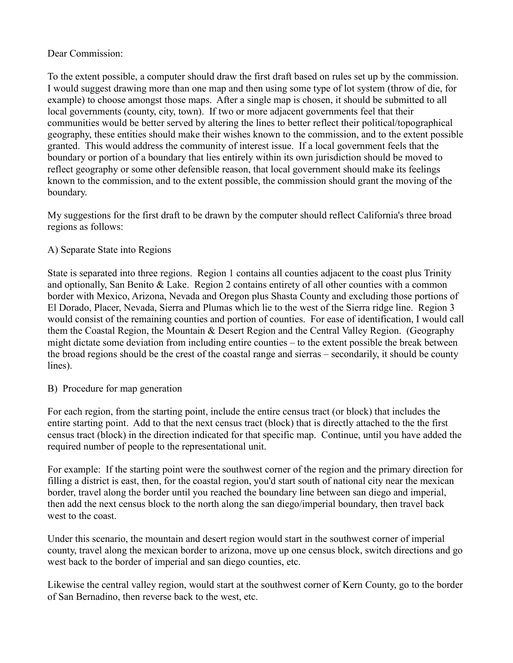## Dear Commission:

To the extent possible, a computer should draw the first draft based on rules set up by the commission. I would suggest drawing more than one map and then using some type of lot system (throw of die, for example) to choose amongst those maps. After a single map is chosen, it should be submitted to all local governments (county, city, town). If two or more adjacent governments feel that their communities would be better served by altering the lines to better reflect their political/topographical geography, these entities should make their wishes known to the commission, and to the extent possible granted. This would address the community of interest issue. If a local government feels that the boundary or portion of a boundary that lies entirely within its own jurisdiction should be moved to reflect geography or some other defensible reason, that local government should make its feelings known to the commission, and to the extent possible, the commission should grant the moving of the boundary.

My suggestions for the first draft to be drawn by the computer should reflect California's three broad regions as follows:

## A) Separate State into Regions

State is separated into three regions. Region 1 contains all counties adjacent to the coast plus Trinity and optionally, San Benito & Lake. Region 2 contains entirety of all other counties with a common border with Mexico, Arizona, Nevada and Oregon plus Shasta County and excluding those portions of El Dorado, Placer, Nevada, Sierra and Plumas which lie to the west of the Sierra ridge line. Region 3 would consist of the remaining counties and portion of counties. For ease of identification, I would call them the Coastal Region, the Mountain & Desert Region and the Central Valley Region. (Geography might dictate some deviation from including entire counties – to the extent possible the break between the broad regions should be the crest of the coastal range and sierras – secondarily, it should be county lines).

## B) Procedure for map generation

For each region, from the starting point, include the entire census tract (or block) that includes the entire starting point. Add to that the next census tract (block) that is directly attached to the the first census tract (block) in the direction indicated for that specific map. Continue, until you have added the required number of people to the representational unit.

For example: If the starting point were the southwest corner of the region and the primary direction for filling a district is east, then, for the coastal region, you'd start south of national city near the mexican border, travel along the border until you reached the boundary line between san diego and imperial, then add the next census block to the north along the san diego/imperial boundary, then travel back west to the coast.

Under this scenario, the mountain and desert region would start in the southwest corner of imperial county, travel along the mexican border to arizona, move up one census block, switch directions and go west back to the border of imperial and san diego counties, etc.

Likewise the central valley region, would start at the southwest corner of Kern County, go to the border of San Bernadino, then reverse back to the west, etc.